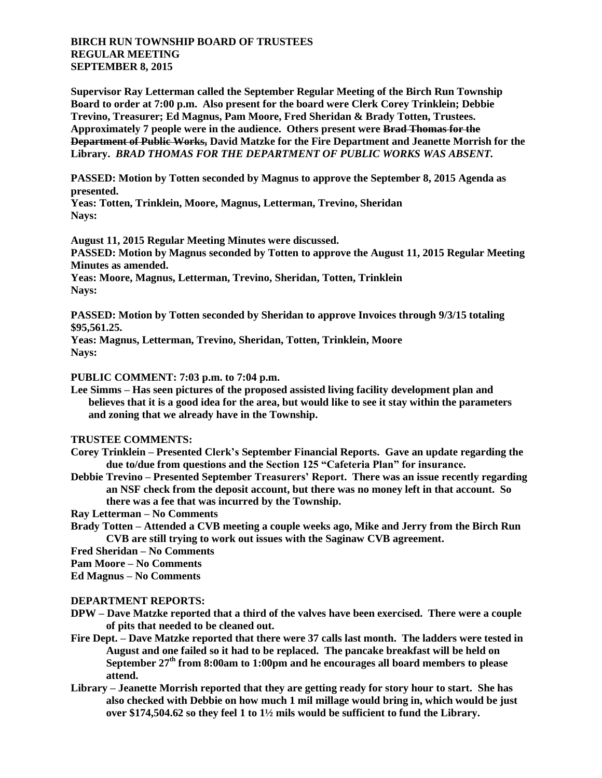## **BIRCH RUN TOWNSHIP BOARD OF TRUSTEES REGULAR MEETING SEPTEMBER 8, 2015**

**Supervisor Ray Letterman called the September Regular Meeting of the Birch Run Township Board to order at 7:00 p.m. Also present for the board were Clerk Corey Trinklein; Debbie Trevino, Treasurer; Ed Magnus, Pam Moore, Fred Sheridan & Brady Totten, Trustees. Approximately 7 people were in the audience. Others present were Brad Thomas for the Department of Public Works, David Matzke for the Fire Department and Jeanette Morrish for the Library.** *BRAD THOMAS FOR THE DEPARTMENT OF PUBLIC WORKS WAS ABSENT.*

**PASSED: Motion by Totten seconded by Magnus to approve the September 8, 2015 Agenda as presented.**

**Yeas: Totten, Trinklein, Moore, Magnus, Letterman, Trevino, Sheridan Nays:** 

**August 11, 2015 Regular Meeting Minutes were discussed.**

**PASSED: Motion by Magnus seconded by Totten to approve the August 11, 2015 Regular Meeting Minutes as amended.**

**Yeas: Moore, Magnus, Letterman, Trevino, Sheridan, Totten, Trinklein Nays:** 

**PASSED: Motion by Totten seconded by Sheridan to approve Invoices through 9/3/15 totaling \$95,561.25.**

**Yeas: Magnus, Letterman, Trevino, Sheridan, Totten, Trinklein, Moore Nays:** 

**PUBLIC COMMENT: 7:03 p.m. to 7:04 p.m.**

**Lee Simms – Has seen pictures of the proposed assisted living facility development plan and believes that it is a good idea for the area, but would like to see it stay within the parameters and zoning that we already have in the Township.**

**TRUSTEE COMMENTS:**

- **Corey Trinklein – Presented Clerk's September Financial Reports. Gave an update regarding the due to/due from questions and the Section 125 "Cafeteria Plan" for insurance.**
- **Debbie Trevino – Presented September Treasurers' Report. There was an issue recently regarding an NSF check from the deposit account, but there was no money left in that account. So there was a fee that was incurred by the Township.**

**Ray Letterman – No Comments**

- **Brady Totten – Attended a CVB meeting a couple weeks ago, Mike and Jerry from the Birch Run CVB are still trying to work out issues with the Saginaw CVB agreement.**
- **Fred Sheridan – No Comments**
- **Pam Moore – No Comments**

**Ed Magnus – No Comments**

## **DEPARTMENT REPORTS:**

- **DPW – Dave Matzke reported that a third of the valves have been exercised. There were a couple of pits that needed to be cleaned out.**
- **Fire Dept. – Dave Matzke reported that there were 37 calls last month. The ladders were tested in August and one failed so it had to be replaced. The pancake breakfast will be held on September 27th from 8:00am to 1:00pm and he encourages all board members to please attend.**
- **Library – Jeanette Morrish reported that they are getting ready for story hour to start. She has also checked with Debbie on how much 1 mil millage would bring in, which would be just over \$174,504.62 so they feel 1 to 1½ mils would be sufficient to fund the Library.**